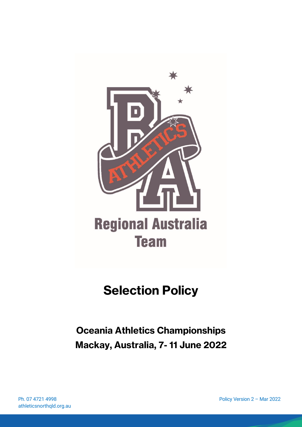

# **Selection Policy**

**Oceania Athletics Championships Mackay, Australia, 7- 11 June 2022**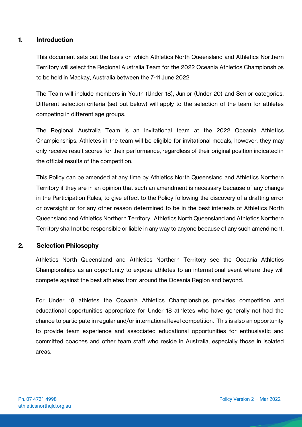## **1. Introduction**

This document sets out the basis on which Athletics North Queensland and Athletics Northern Territory will select the Regional Australia Team for the 2022 Oceania Athletics Championships to be held in Mackay, Australia between the 7-11 June 2022

The Team will include members in Youth (Under 18), Junior (Under 20) and Senior categories. Different selection criteria (set out below) will apply to the selection of the team for athletes competing in different age groups.

The Regional Australia Team is an Invitational team at the 2022 Oceania Athletics Championships. Athletes in the team will be eligible for invitational medals, however, they may only receive result scores for their performance, regardless of their original position indicated in the official results of the competition.

This Policy can be amended at any time by Athletics North Queensland and Athletics Northern Territory if they are in an opinion that such an amendment is necessary because of any change in the Participation Rules, to give effect to the Policy following the discovery of a drafting error or oversight or for any other reason determined to be in the best interests of Athletics North Queensland and Athletics Northern Territory. Athletics North Queensland and Athletics Northern Territory shall not be responsible or liable in any way to anyone because of any such amendment.

#### **2. Selection Philosophy**

Athletics North Queensland and Athletics Northern Territory see the Oceania Athletics Championships as an opportunity to expose athletes to an international event where they will compete against the best athletes from around the Oceania Region and beyond.

For Under 18 athletes the Oceania Athletics Championships provides competition and educational opportunities appropriate for Under 18 athletes who have generally not had the chance to participate in regular and/or international level competition. This is also an opportunity to provide team experience and associated educational opportunities for enthusiastic and committed coaches and other team staff who reside in Australia, especially those in isolated areas.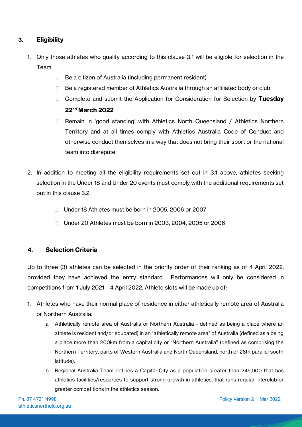# **3. Eligibility**

- 1. Only those athletes who qualify according to this clause 3.1 will be eligible for selection in the Team:
	- $\Box$  Be a citizen of Australia (including permanent resident)
	- $\Box$  Be a registered member of Athletics Australia through an affiliated body or club
	- Complete and submit the Application for Consideration for Selection by **Tuesday 22nd March 2022**
	- □ Remain in 'good standing' with Athletics North Queensland / Athletics Northern Territory and at all times comply with Athletics Australia Code of Conduct and otherwise conduct themselves in a way that does not bring their sport or the national team into disrepute.
- 2. In addition to meeting all the eligibility requirements set out in 3.1 above, athletes seeking selection in the Under 18 and Under 20 events must comply with the additional requirements set out in this clause 3.2.
	- □ Under 18 Athletes must be born in 2005, 2006 or 2007
	- □ Under 20 Athletes must be born in 2003, 2004, 2005 or 2006

## **4. Selection Criteria**

Up to three (3) athletes can be selected in the priority order of their ranking as of 4 April 2022, provided they have achieved the entry standard. Performances will only be considered in competitions from 1 July 2021 – 4 April 2022. Athlete slots will be made up of:

- 1. Athletes who have their normal place of residence in either athletically remote area of Australia or Northern Australia:
	- a. Athletically remote area of Australia or Northern Australia defined as being a place where an athlete is resident and/or educated) in an "athletically remote area" of Australia (defined as a being a place more than 200km from a capital city or "Northern Australia" (defined as comprising the Northern Territory, parts of Western Australia and North Queensland, north of 26th parallel south latitude).
	- b. Regional Australia Team defines a Capital City as a population greater than 245,000 that has athletics facilities/resources to support strong growth in athletics, that runs regular interclub or greater competitions in the athletics season.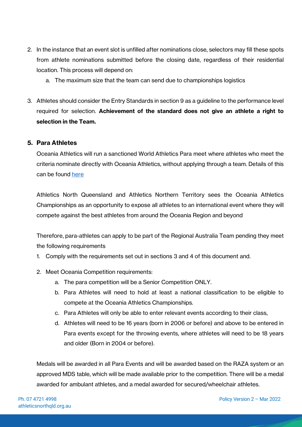- 2. In the instance that an event slot is unfilled after nominations close, selectors may fill these spots from athlete nominations submitted before the closing date, regardless of their residential location. This process will depend on:
	- a. The maximum size that the team can send due to championships logistics
- 3. Athletes should consider the Entry Standards in section 9 as a guideline to the performance level required for selection. **Achievement of the standard does not give an athlete a right to selection in the Team.**

#### **5. Para Athletes**

Oceania Athletics will run a sanctioned World Athletics Para meet where athletes who meet the criteria nominate directly with Oceania Athletics, without applying through a team. Details of this can be found [here](https://raceroster.com/events/2022/58274/oceania-para-athletics-championships)

Athletics North Queensland and Athletics Northern Territory sees the Oceania Athletics Championships as an opportunity to expose all athletes to an international event where they will compete against the best athletes from around the Oceania Region and beyond

Therefore, para-athletes can apply to be part of the Regional Australia Team pending they meet the following requirements

- 1. Comply with the requirements set out in sections 3 and 4 of this document and.
- 2. Meet Oceania Competition requirements:
	- a. The para competition will be a Senior Competition ONLY.
	- b. Para Athletes will need to hold at least a national classification to be eligible to compete at the Oceania Athletics Championships.
	- c. Para Athletes will only be able to enter relevant events according to their class,
	- d. Athletes will need to be 16 years (born in 2006 or before) and above to be entered in Para events except for the throwing events, where athletes will need to be 18 years and older (Born in 2004 or before).

Medals will be awarded in all Para Events and will be awarded based on the RAZA system or an approved MDS table, which will be made available prior to the competition. There will be a medal awarded for ambulant athletes, and a medal awarded for secured/wheelchair athletes.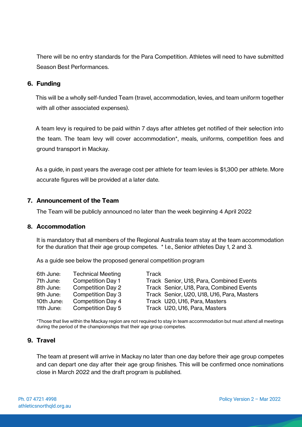There will be no entry standards for the Para Competition. Athletes will need to have submitted Season Best Performances.

#### **6. Funding**

This will be a wholly self-funded Team (travel, accommodation, levies, and team uniform together with all other associated expenses).

A team levy is required to be paid within 7 days after athletes get notified of their selection into the team. The team levy will cover accommodation\*, meals, uniforms, competition fees and ground transport in Mackay.

As a guide, in past years the average cost per athlete for team levies is \$1,300 per athlete. More accurate figures will be provided at a later date.

## **7. Announcement of the Team**

The Team will be publicly announced no later than the week beginning 4 April 2022

#### **8. Accommodation**

It is mandatory that all members of the Regional Australia team stay at the team accommodation for the duration that their age group competes. \* I.e., Senior athletes Day 1, 2 and 3.

As a guide see below the proposed general competition program

| 6th June:  | <b>Technical Meeting</b> | Track                                      |
|------------|--------------------------|--------------------------------------------|
| 7th June:  | <b>Competition Day 1</b> | Track Senior, U18, Para, Combined Events   |
| 8th June:  | <b>Competition Day 2</b> | Track Senior, U18, Para, Combined Events   |
| 9th June:  | Competition Day 3        | Track Senior, U20, U18, U16, Para, Masters |
| 10th June: | <b>Competition Day 4</b> | Track U20, U16, Para, Masters              |
| 11th June: | Competition Day 5        | Track U20, U16, Para, Masters              |

\*Those that live within the Mackay region are not required to stay in team accommodation but must attend all meetings during the period of the championships that their age group competes.

## **9. Travel**

The team at present will arrive in Mackay no later than one day before their age group competes and can depart one day after their age group finishes. This will be confirmed once nominations close in March 2022 and the draft program is published.